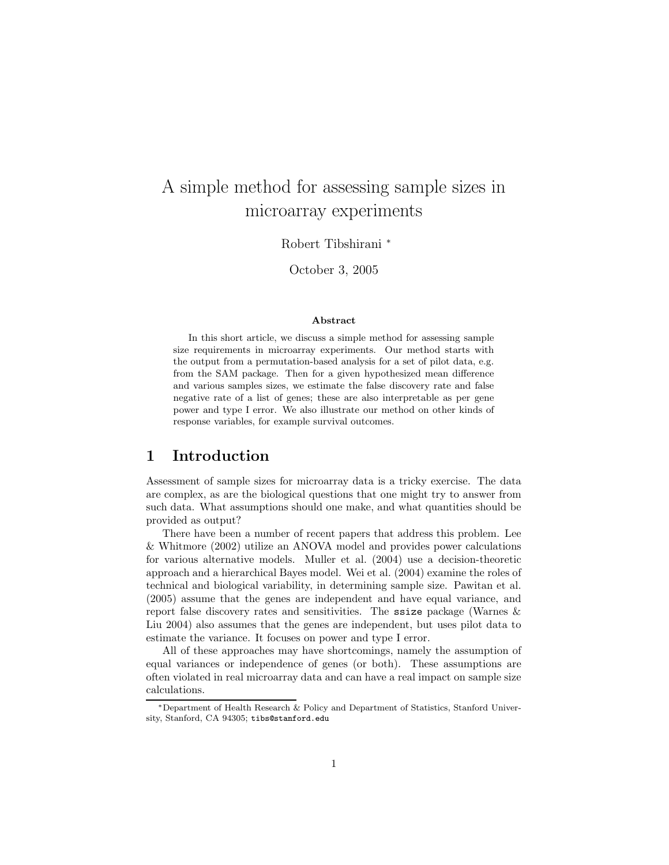# A simple method for assessing sample sizes in microarray experiments

Robert Tibshirani <sup>∗</sup>

October 3, 2005

#### Abstract

In this short article, we discuss a simple method for assessing sample size requirements in microarray experiments. Our method starts with the output from a permutation-based analysis for a set of pilot data, e.g. from the SAM package. Then for a given hypothesized mean difference and various samples sizes, we estimate the false discovery rate and false negative rate of a list of genes; these are also interpretable as per gene power and type I error. We also illustrate our method on other kinds of response variables, for example survival outcomes.

### 1 Introduction

Assessment of sample sizes for microarray data is a tricky exercise. The data are complex, as are the biological questions that one might try to answer from such data. What assumptions should one make, and what quantities should be provided as output?

There have been a number of recent papers that address this problem. Lee & Whitmore (2002) utilize an ANOVA model and provides power calculations for various alternative models. Muller et al. (2004) use a decision-theoretic approach and a hierarchical Bayes model. Wei et al. (2004) examine the roles of technical and biological variability, in determining sample size. Pawitan et al. (2005) assume that the genes are independent and have equal variance, and report false discovery rates and sensitivities. The ssize package (Warnes & Liu 2004) also assumes that the genes are independent, but uses pilot data to estimate the variance. It focuses on power and type I error.

All of these approaches may have shortcomings, namely the assumption of equal variances or independence of genes (or both). These assumptions are often violated in real microarray data and can have a real impact on sample size calculations.

<sup>∗</sup>Department of Health Research & Policy and Department of Statistics, Stanford University, Stanford, CA 94305; tibs@stanford.edu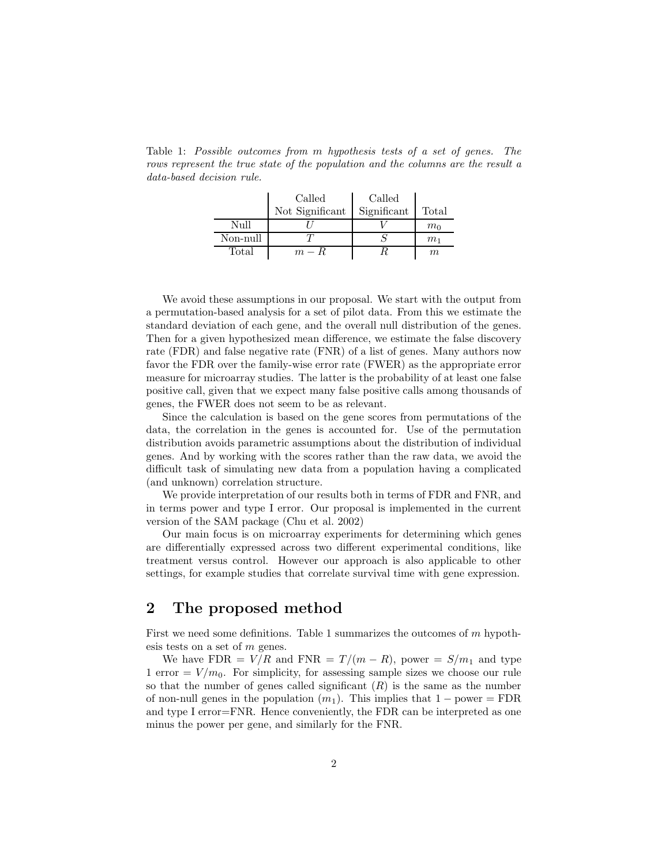rows represent the true state of the population and the columns are the result a data-based decision rule.  $\mathbf{I}$ Called Called

Table 1: Possible outcomes from m hypothesis tests of a set of genes. The

|          | Сапес           | Сапес       |                |
|----------|-----------------|-------------|----------------|
|          | Not Significant | Significant | Total          |
| Null     |                 |             | m <sub>0</sub> |
| Non-null |                 |             | m <sub>1</sub> |
| Total    | $m - R$         |             | $m_{\rm c}$    |

We avoid these assumptions in our proposal. We start with the output from a permutation-based analysis for a set of pilot data. From this we estimate the standard deviation of each gene, and the overall null distribution of the genes. Then for a given hypothesized mean difference, we estimate the false discovery rate (FDR) and false negative rate (FNR) of a list of genes. Many authors now favor the FDR over the family-wise error rate (FWER) as the appropriate error measure for microarray studies. The latter is the probability of at least one false positive call, given that we expect many false positive calls among thousands of genes, the FWER does not seem to be as relevant.

Since the calculation is based on the gene scores from permutations of the data, the correlation in the genes is accounted for. Use of the permutation distribution avoids parametric assumptions about the distribution of individual genes. And by working with the scores rather than the raw data, we avoid the difficult task of simulating new data from a population having a complicated (and unknown) correlation structure.

We provide interpretation of our results both in terms of FDR and FNR, and in terms power and type I error. Our proposal is implemented in the current version of the SAM package (Chu et al. 2002)

Our main focus is on microarray experiments for determining which genes are differentially expressed across two different experimental conditions, like treatment versus control. However our approach is also applicable to other settings, for example studies that correlate survival time with gene expression.

## 2 The proposed method

First we need some definitions. Table 1 summarizes the outcomes of  $m$  hypothesis tests on a set of m genes.

We have FDR =  $V/R$  and FNR =  $T/(m - R)$ , power =  $S/m_1$  and type 1 error  $= V/m_0$ . For simplicity, for assessing sample sizes we choose our rule so that the number of genes called significant  $(R)$  is the same as the number of non-null genes in the population  $(m_1)$ . This implies that  $1 - power = FDR$ and type I error=FNR. Hence conveniently, the FDR can be interpreted as one minus the power per gene, and similarly for the FNR.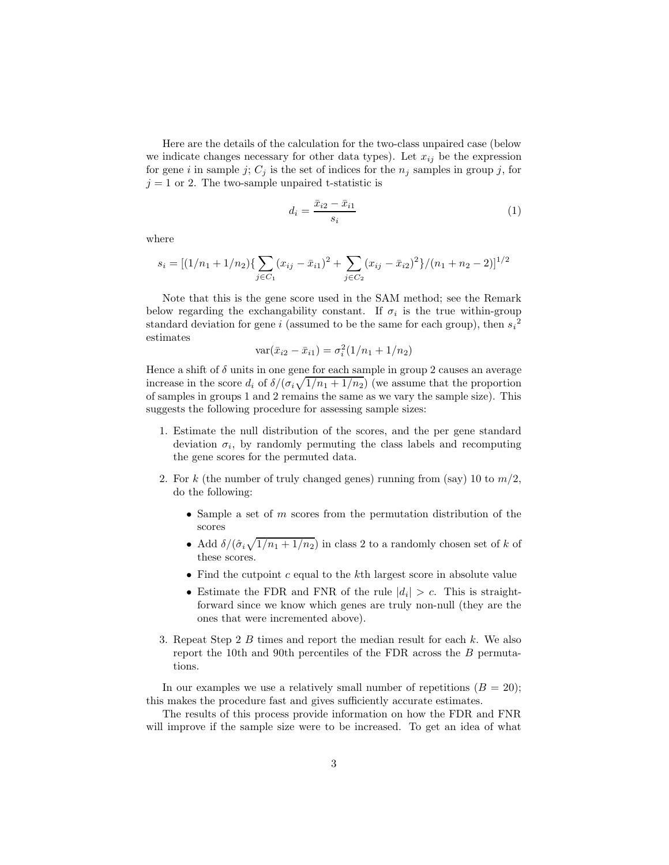Here are the details of the calculation for the two-class unpaired case (below we indicate changes necessary for other data types). Let  $x_{ij}$  be the expression for gene i in sample j;  $C_j$  is the set of indices for the  $n_j$  samples in group j, for  $j = 1$  or 2. The two-sample unpaired t-statistic is

$$
d_i = \frac{\bar{x}_{i2} - \bar{x}_{i1}}{s_i} \tag{1}
$$

where

$$
s_i = [(1/n_1 + 1/n_2) \{ \sum_{j \in C_1} (x_{ij} - \bar{x}_{i1})^2 + \sum_{j \in C_2} (x_{ij} - \bar{x}_{i2})^2 \} / (n_1 + n_2 - 2)]^{1/2}
$$

Note that this is the gene score used in the SAM method; see the Remark below regarding the exchangability constant. If  $\sigma_i$  is the true within-group standard deviation for gene i (assumed to be the same for each group), then  $s_i^2$ estimates

$$
var(\bar{x}_{i2} - \bar{x}_{i1}) = \sigma_i^2(1/n_1 + 1/n_2)
$$

Hence a shift of  $\delta$  units in one gene for each sample in group 2 causes an average increase in the score  $d_i$  of  $\delta/(\sigma_i\sqrt{1/n_1+1/n_2})$  (we assume that the proportion of samples in groups 1 and 2 remains the same as we vary the sample size). This suggests the following procedure for assessing sample sizes:

- 1. Estimate the null distribution of the scores, and the per gene standard deviation  $\sigma_i$ , by randomly permuting the class labels and recomputing the gene scores for the permuted data.
- 2. For k (the number of truly changed genes) running from (say) 10 to  $m/2$ , do the following:
	- $\bullet$  Sample a set of  $m$  scores from the permutation distribution of the scores
	- Add  $\delta/(\hat{\sigma}_i\sqrt{1/n_1+1/n_2})$  in class 2 to a randomly chosen set of k of these scores.
	- Find the cutpoint  $c$  equal to the  $k$ th largest score in absolute value
	- Estimate the FDR and FNR of the rule  $|d_i| > c$ . This is straightforward since we know which genes are truly non-null (they are the ones that were incremented above).
- 3. Repeat Step 2 B times and report the median result for each k. We also report the 10th and 90th percentiles of the FDR across the B permutations.

In our examples we use a relatively small number of repetitions  $(B = 20)$ ; this makes the procedure fast and gives sufficiently accurate estimates.

The results of this process provide information on how the FDR and FNR will improve if the sample size were to be increased. To get an idea of what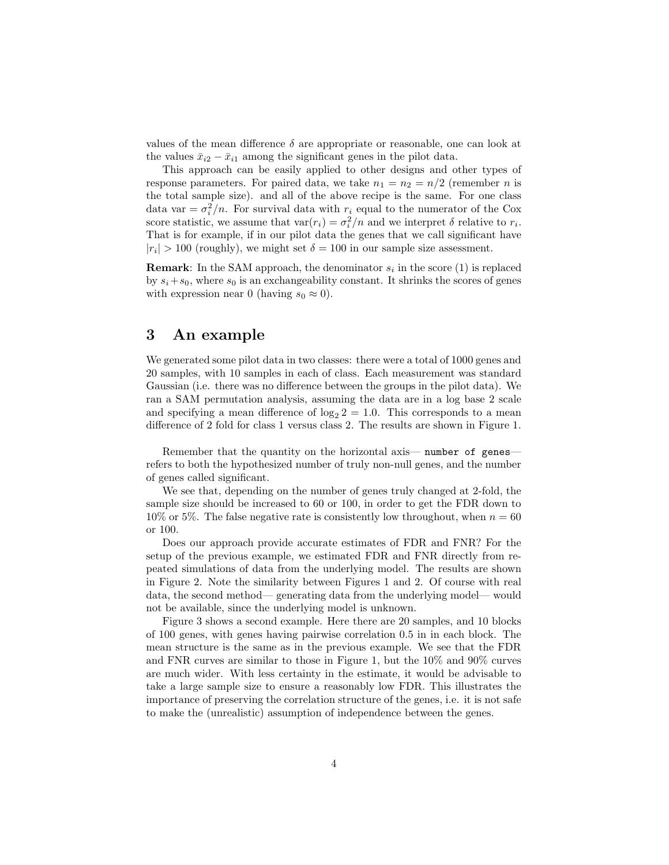values of the mean difference  $\delta$  are appropriate or reasonable, one can look at the values  $\bar{x}_{i2} - \bar{x}_{i1}$  among the significant genes in the pilot data.

This approach can be easily applied to other designs and other types of response parameters. For paired data, we take  $n_1 = n_2 = n/2$  (remember *n* is the total sample size). and all of the above recipe is the same. For one class data var =  $\sigma_i^2/n$ . For survival data with  $r_i$  equal to the numerator of the Cox score statistic, we assume that  $var(r_i) = \sigma_i^2/n$  and we interpret  $\delta$  relative to  $r_i$ . That is for example, if in our pilot data the genes that we call significant have  $|r_i| > 100$  (roughly), we might set  $\delta = 100$  in our sample size assessment.

**Remark**: In the SAM approach, the denominator  $s_i$  in the score (1) is replaced by  $s_i+s_0$ , where  $s_0$  is an exchangeability constant. It shrinks the scores of genes with expression near 0 (having  $s_0 \approx 0$ ).

### 3 An example

We generated some pilot data in two classes: there were a total of 1000 genes and 20 samples, with 10 samples in each of class. Each measurement was standard Gaussian (i.e. there was no difference between the groups in the pilot data). We ran a SAM permutation analysis, assuming the data are in a log base 2 scale and specifying a mean difference of  $log_2 2 = 1.0$ . This corresponds to a mean difference of 2 fold for class 1 versus class 2. The results are shown in Figure 1.

Remember that the quantity on the horizontal axis— number of genes refers to both the hypothesized number of truly non-null genes, and the number of genes called significant.

We see that, depending on the number of genes truly changed at 2-fold, the sample size should be increased to 60 or 100, in order to get the FDR down to 10% or 5%. The false negative rate is consistently low throughout, when  $n = 60$ or 100.

Does our approach provide accurate estimates of FDR and FNR? For the setup of the previous example, we estimated FDR and FNR directly from repeated simulations of data from the underlying model. The results are shown in Figure 2. Note the similarity between Figures 1 and 2. Of course with real data, the second method— generating data from the underlying model— would not be available, since the underlying model is unknown.

Figure 3 shows a second example. Here there are 20 samples, and 10 blocks of 100 genes, with genes having pairwise correlation 0.5 in in each block. The mean structure is the same as in the previous example. We see that the FDR and FNR curves are similar to those in Figure 1, but the 10% and 90% curves are much wider. With less certainty in the estimate, it would be advisable to take a large sample size to ensure a reasonably low FDR. This illustrates the importance of preserving the correlation structure of the genes, i.e. it is not safe to make the (unrealistic) assumption of independence between the genes.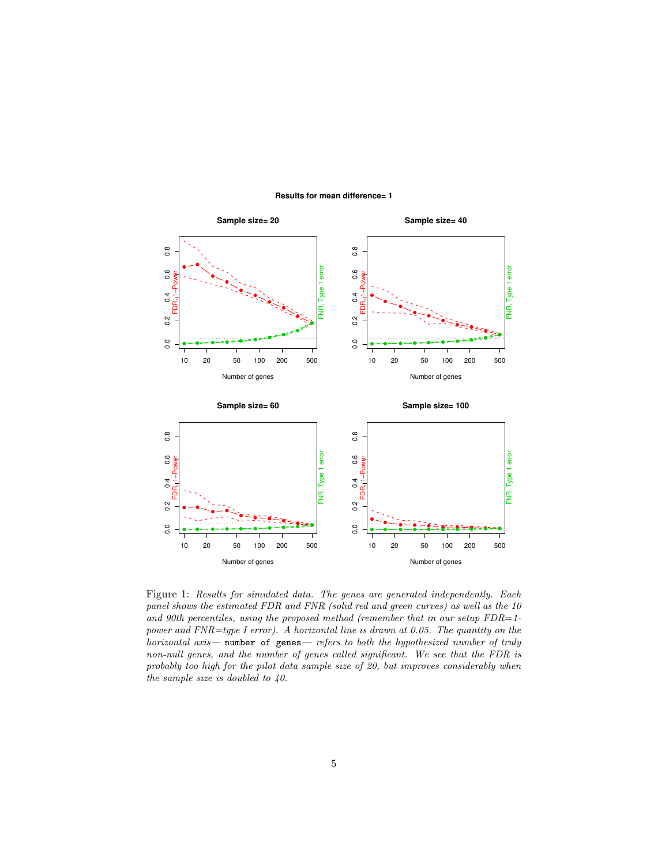

#### **Results for mean difference= 1**

Figure 1: Results for simulated data. The genes are generated independently. Each panel shows the estimated FDR and FNR (solid red and green curves) as well as the 10 and 90th percentiles, using the proposed method (remember that in our setup  $FDR=1$ power and FNR=type I error). A horizontal line is drawn at 0.05. The quantity on the horizontal axis— number of genes— refers to both the hypothesized number of truly non-null genes, and the number of genes called significant. We see that the FDR is probably too high for the pilot data sample size of 20, but improves considerably when the sample size is doubled to 40.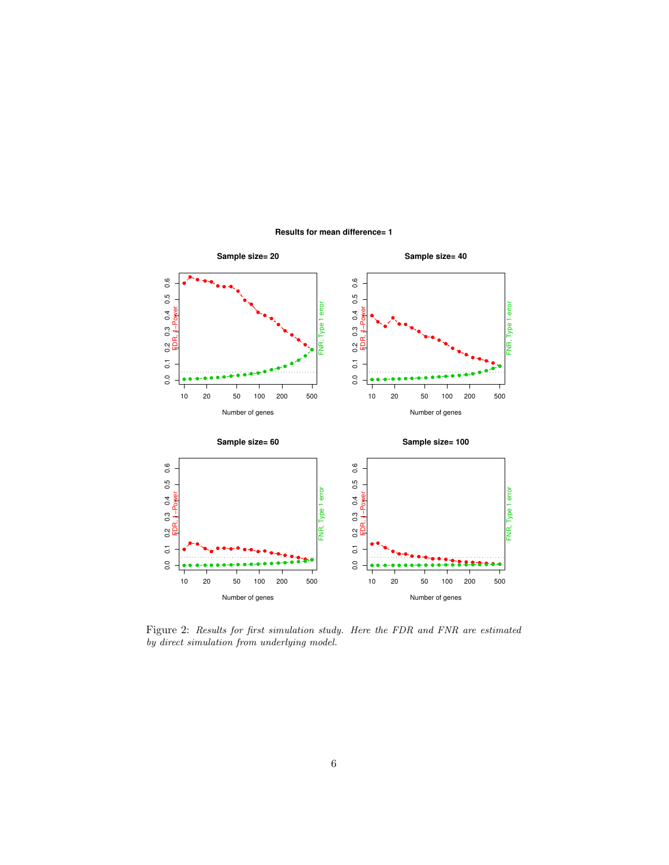

### **Results for mean difference= 1**

Figure 2: Results for first simulation study. Here the FDR and FNR are estimated by direct simulation from underlying model.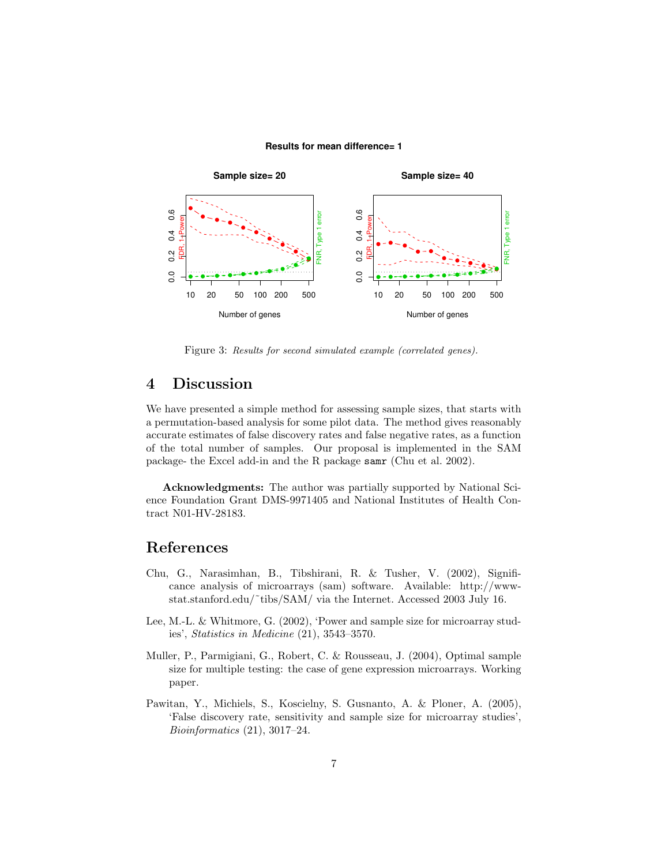### **Results for mean difference= 1**



Figure 3: Results for second simulated example (correlated genes).

# 4 Discussion

We have presented a simple method for assessing sample sizes, that starts with a permutation-based analysis for some pilot data. The method gives reasonably accurate estimates of false discovery rates and false negative rates, as a function of the total number of samples. Our proposal is implemented in the SAM package- the Excel add-in and the R package samr (Chu et al. 2002).

Acknowledgments: The author was partially supported by National Science Foundation Grant DMS-9971405 and National Institutes of Health Contract N01-HV-28183.

### References

- Chu, G., Narasimhan, B., Tibshirani, R. & Tusher, V. (2002), Significance analysis of microarrays (sam) software. Available: http://wwwstat.stanford.edu/~tibs/SAM/ via the Internet. Accessed 2003 July 16.
- Lee, M.-L. & Whitmore, G. (2002), 'Power and sample size for microarray studies', Statistics in Medicine (21), 3543–3570.
- Muller, P., Parmigiani, G., Robert, C. & Rousseau, J. (2004), Optimal sample size for multiple testing: the case of gene expression microarrays. Working paper.
- Pawitan, Y., Michiels, S., Koscielny, S. Gusnanto, A. & Ploner, A. (2005), 'False discovery rate, sensitivity and sample size for microarray studies', Bioinformatics (21), 3017–24.